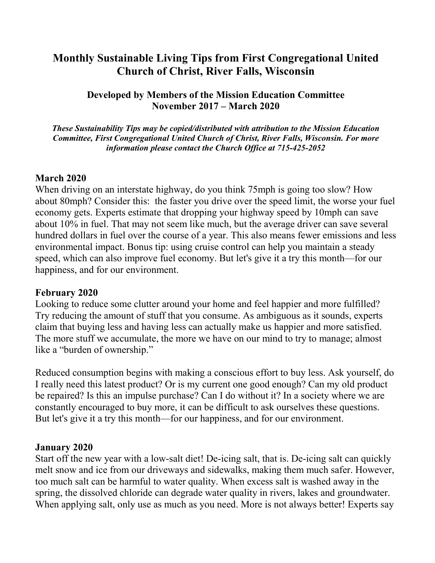# **Monthly Sustainable Living Tips from First Congregational United Church of Christ, River Falls, Wisconsin**

**Developed by Members of the Mission Education Committee November 2017 – March 2020**

*These Sustainability Tips may be copied/distributed with attribution to the Mission Education Committee, First Congregational United Church of Christ, River Falls, Wisconsin. For more information please contact the Church Office at 715-425-2052*

#### **March 2020**

When driving on an interstate highway, do you think 75mph is going too slow? How about 80mph? Consider this: the faster you drive over the speed limit, the worse your fuel economy gets. Experts estimate that dropping your highway speed by 10mph can save about 10% in fuel. That may not seem like much, but the average driver can save several hundred dollars in fuel over the course of a year. This also means fewer emissions and less environmental impact. Bonus tip: using cruise control can help you maintain a steady speed, which can also improve fuel economy. But let's give it a try this month—for our happiness, and for our environment.

#### **February 2020**

Looking to reduce some clutter around your home and feel happier and more fulfilled? Try reducing the amount of stuff that you consume. As ambiguous as it sounds, experts claim that buying less and having less can actually make us happier and more satisfied. The more stuff we accumulate, the more we have on our mind to try to manage; almost like a "burden of ownership."

Reduced consumption begins with making a conscious effort to buy less. Ask yourself, do I really need this latest product? Or is my current one good enough? Can my old product be repaired? Is this an impulse purchase? Can I do without it? In a society where we are constantly encouraged to buy more, it can be difficult to ask ourselves these questions. But let's give it a try this month—for our happiness, and for our environment.

#### **January 2020**

Start off the new year with a low-salt diet! De-icing salt, that is. De-icing salt can quickly melt snow and ice from our driveways and sidewalks, making them much safer. However, too much salt can be harmful to water quality. When excess salt is washed away in the spring, the dissolved chloride can degrade water quality in rivers, lakes and groundwater. When applying salt, only use as much as you need. More is not always better! Experts say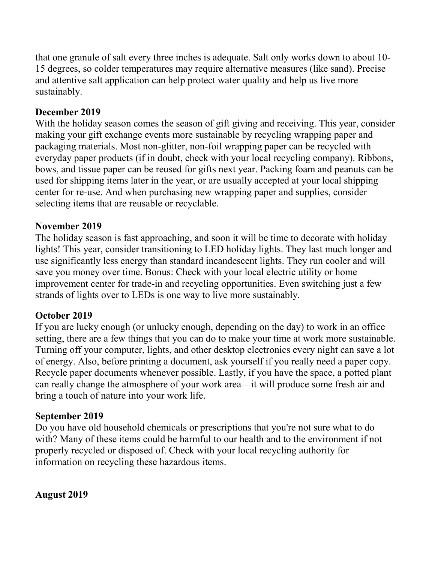that one granule of salt every three inches is adequate. Salt only works down to about 10- 15 degrees, so colder temperatures may require alternative measures (like sand). Precise and attentive salt application can help protect water quality and help us live more sustainably.

## **December 2019**

With the holiday season comes the season of gift giving and receiving. This year, consider making your gift exchange events more sustainable by recycling wrapping paper and packaging materials. Most non-glitter, non-foil wrapping paper can be recycled with everyday paper products (if in doubt, check with your local recycling company). Ribbons, bows, and tissue paper can be reused for gifts next year. Packing foam and peanuts can be used for shipping items later in the year, or are usually accepted at your local shipping center for re-use. And when purchasing new wrapping paper and supplies, consider selecting items that are reusable or recyclable.

#### **November 2019**

The holiday season is fast approaching, and soon it will be time to decorate with holiday lights! This year, consider transitioning to LED holiday lights. They last much longer and use significantly less energy than standard incandescent lights. They run cooler and will save you money over time. Bonus: Check with your local electric utility or home improvement center for trade-in and recycling opportunities. Even switching just a few strands of lights over to LEDs is one way to live more sustainably.

#### **October 2019**

If you are lucky enough (or unlucky enough, depending on the day) to work in an office setting, there are a few things that you can do to make your time at work more sustainable. Turning off your computer, lights, and other desktop electronics every night can save a lot of energy. Also, before printing a document, ask yourself if you really need a paper copy. Recycle paper documents whenever possible. Lastly, if you have the space, a potted plant can really change the atmosphere of your work area—it will produce some fresh air and bring a touch of nature into your work life.

#### **September 2019**

Do you have old household chemicals or prescriptions that you're not sure what to do with? Many of these items could be harmful to our health and to the environment if not properly recycled or disposed of. Check with your local recycling authority for information on recycling these hazardous items.

**August 2019**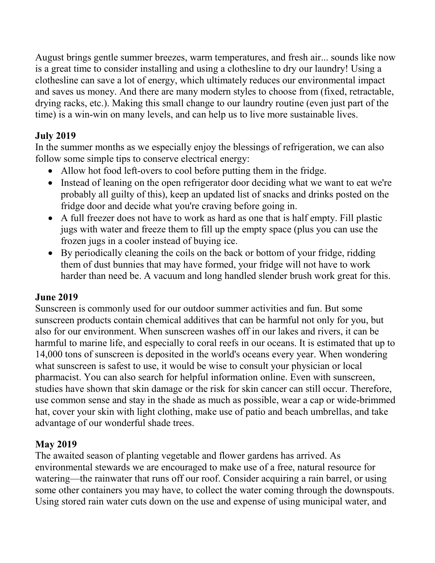August brings gentle summer breezes, warm temperatures, and fresh air... sounds like now is a great time to consider installing and using a clothesline to dry our laundry! Using a clothesline can save a lot of energy, which ultimately reduces our environmental impact and saves us money. And there are many modern styles to choose from (fixed, retractable, drying racks, etc.). Making this small change to our laundry routine (even just part of the time) is a win-win on many levels, and can help us to live more sustainable lives.

# **July 2019**

In the summer months as we especially enjoy the blessings of refrigeration, we can also follow some simple tips to conserve electrical energy:

- Allow hot food left-overs to cool before putting them in the fridge.
- Instead of leaning on the open refrigerator door deciding what we want to eat we're probably all guilty of this), keep an updated list of snacks and drinks posted on the fridge door and decide what you're craving before going in.
- A full freezer does not have to work as hard as one that is half empty. Fill plastic jugs with water and freeze them to fill up the empty space (plus you can use the frozen jugs in a cooler instead of buying ice.
- By periodically cleaning the coils on the back or bottom of your fridge, ridding them of dust bunnies that may have formed, your fridge will not have to work harder than need be. A vacuum and long handled slender brush work great for this.

# **June 2019**

Sunscreen is commonly used for our outdoor summer activities and fun. But some sunscreen products contain chemical additives that can be harmful not only for you, but also for our environment. When sunscreen washes off in our lakes and rivers, it can be harmful to marine life, and especially to coral reefs in our oceans. It is estimated that up to 14,000 tons of sunscreen is deposited in the world's oceans every year. When wondering what sunscreen is safest to use, it would be wise to consult your physician or local pharmacist. You can also search for helpful information online. Even with sunscreen, studies have shown that skin damage or the risk for skin cancer can still occur. Therefore, use common sense and stay in the shade as much as possible, wear a cap or wide-brimmed hat, cover your skin with light clothing, make use of patio and beach umbrellas, and take advantage of our wonderful shade trees.

# **May 2019**

The awaited season of planting vegetable and flower gardens has arrived. As environmental stewards we are encouraged to make use of a free, natural resource for watering—the rainwater that runs off our roof. Consider acquiring a rain barrel, or using some other containers you may have, to collect the water coming through the downspouts. Using stored rain water cuts down on the use and expense of using municipal water, and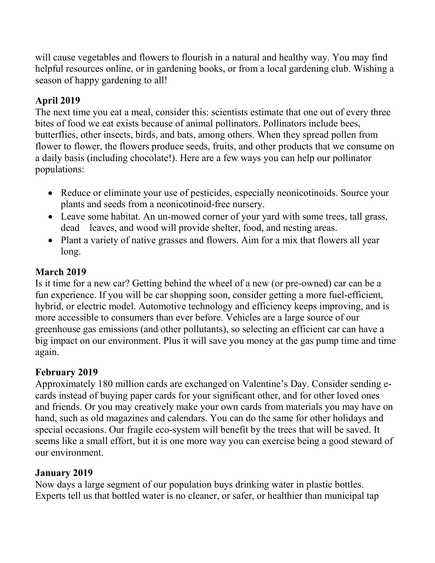will cause vegetables and flowers to flourish in a natural and healthy way. You may find helpful resources online, or in gardening books, or from a local gardening club. Wishing a season of happy gardening to all!

## **April 2019**

The next time you eat a meal, consider this: scientists estimate that one out of every three bites of food we eat exists because of animal pollinators. Pollinators include bees, butterflies, other insects, birds, and bats, among others. When they spread pollen from flower to flower, the flowers produce seeds, fruits, and other products that we consume on a daily basis (including chocolate!). Here are a few ways you can help our pollinator populations:

- Reduce or eliminate your use of pesticides, especially neonicotinoids. Source your plants and seeds from a neonicotinoid-free nursery.
- Leave some habitat. An un-mowed corner of your yard with some trees, tall grass, dead leaves, and wood will provide shelter, food, and nesting areas.
- Plant a variety of native grasses and flowers. Aim for a mix that flowers all year long.

## **March 2019**

Is it time for a new car? Getting behind the wheel of a new (or pre-owned) car can be a fun experience. If you will be car shopping soon, consider getting a more fuel-efficient, hybrid, or electric model. Automotive technology and efficiency keeps improving, and is more accessible to consumers than ever before. Vehicles are a large source of our greenhouse gas emissions (and other pollutants), so selecting an efficient car can have a big impact on our environment. Plus it will save you money at the gas pump time and time again.

# **February 2019**

Approximately 180 million cards are exchanged on Valentine's Day. Consider sending ecards instead of buying paper cards for your significant other, and for other loved ones and friends. Or you may creatively make your own cards from materials you may have on hand, such as old magazines and calendars. You can do the same for other holidays and special occasions. Our fragile eco-system will benefit by the trees that will be saved. It seems like a small effort, but it is one more way you can exercise being a good steward of our environment.

# **January 2019**

Now days a large segment of our population buys drinking water in plastic bottles. Experts tell us that bottled water is no cleaner, or safer, or healthier than municipal tap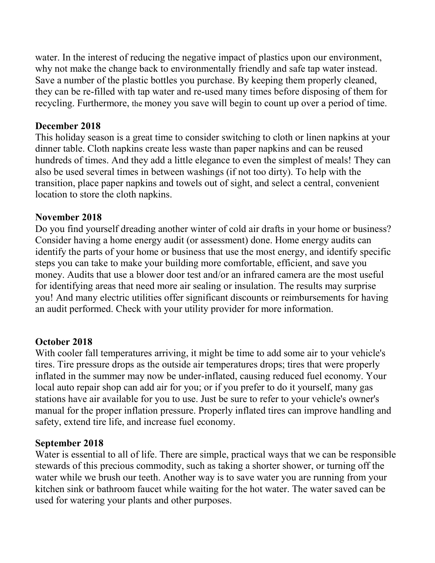water. In the interest of reducing the negative impact of plastics upon our environment, why not make the change back to environmentally friendly and safe tap water instead. Save a number of the plastic bottles you purchase. By keeping them properly cleaned, they can be re-filled with tap water and re-used many times before disposing of them for recycling. Furthermore, the money you save will begin to count up over a period of time.

#### **December 2018**

This holiday season is a great time to consider switching to cloth or linen napkins at your dinner table. Cloth napkins create less waste than paper napkins and can be reused hundreds of times. And they add a little elegance to even the simplest of meals! They can also be used several times in between washings (if not too dirty). To help with the transition, place paper napkins and towels out of sight, and select a central, convenient location to store the cloth napkins.

#### **November 2018**

Do you find yourself dreading another winter of cold air drafts in your home or business? Consider having a home energy audit (or assessment) done. Home energy audits can identify the parts of your home or business that use the most energy, and identify specific steps you can take to make your building more comfortable, efficient, and save you money. Audits that use a blower door test and/or an infrared camera are the most useful for identifying areas that need more air sealing or insulation. The results may surprise you! And many electric utilities offer significant discounts or reimbursements for having an audit performed. Check with your utility provider for more information.

## **October 2018**

With cooler fall temperatures arriving, it might be time to add some air to your vehicle's tires. Tire pressure drops as the outside air temperatures drops; tires that were properly inflated in the summer may now be under-inflated, causing reduced fuel economy. Your local auto repair shop can add air for you; or if you prefer to do it yourself, many gas stations have air available for you to use. Just be sure to refer to your vehicle's owner's manual for the proper inflation pressure. Properly inflated tires can improve handling and safety, extend tire life, and increase fuel economy.

## **September 2018**

Water is essential to all of life. There are simple, practical ways that we can be responsible stewards of this precious commodity, such as taking a shorter shower, or turning off the water while we brush our teeth. Another way is to save water you are running from your kitchen sink or bathroom faucet while waiting for the hot water. The water saved can be used for watering your plants and other purposes.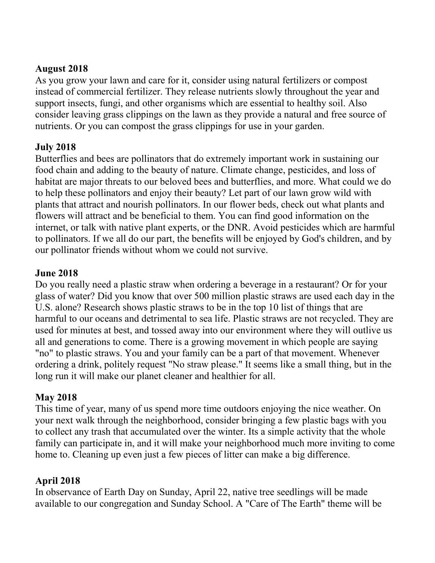#### **August 2018**

As you grow your lawn and care for it, consider using natural fertilizers or compost instead of commercial fertilizer. They release nutrients slowly throughout the year and support insects, fungi, and other organisms which are essential to healthy soil. Also consider leaving grass clippings on the lawn as they provide a natural and free source of nutrients. Or you can compost the grass clippings for use in your garden.

## **July 2018**

Butterflies and bees are pollinators that do extremely important work in sustaining our food chain and adding to the beauty of nature. Climate change, pesticides, and loss of habitat are major threats to our beloved bees and butterflies, and more. What could we do to help these pollinators and enjoy their beauty? Let part of our lawn grow wild with plants that attract and nourish pollinators. In our flower beds, check out what plants and flowers will attract and be beneficial to them. You can find good information on the internet, or talk with native plant experts, or the DNR. Avoid pesticides which are harmful to pollinators. If we all do our part, the benefits will be enjoyed by God's children, and by our pollinator friends without whom we could not survive.

## **June 2018**

Do you really need a plastic straw when ordering a beverage in a restaurant? Or for your glass of water? Did you know that over 500 million plastic straws are used each day in the U.S. alone? Research shows plastic straws to be in the top 10 list of things that are harmful to our oceans and detrimental to sea life. Plastic straws are not recycled. They are used for minutes at best, and tossed away into our environment where they will outlive us all and generations to come. There is a growing movement in which people are saying "no" to plastic straws. You and your family can be a part of that movement. Whenever ordering a drink, politely request "No straw please." It seems like a small thing, but in the long run it will make our planet cleaner and healthier for all.

## **May 2018**

This time of year, many of us spend more time outdoors enjoying the nice weather. On your next walk through the neighborhood, consider bringing a few plastic bags with you to collect any trash that accumulated over the winter. Its a simple activity that the whole family can participate in, and it will make your neighborhood much more inviting to come home to. Cleaning up even just a few pieces of litter can make a big difference.

## **April 2018**

In observance of Earth Day on Sunday, April 22, native tree seedlings will be made available to our congregation and Sunday School. A "Care of The Earth" theme will be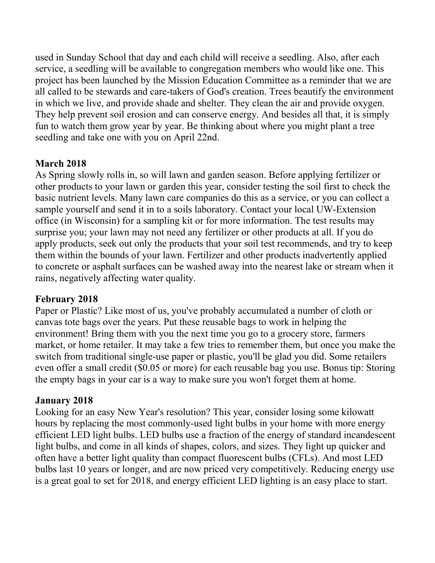used in Sunday School that day and each child will receive a seedling. Also, after each service, a seedling will be available to congregation members who would like one. This project has been launched by the Mission Education Committee as a reminder that we are all called to be stewards and care-takers of God's creation. Trees beautify the environment in which we live, and provide shade and shelter. They clean the air and provide oxygen. They help prevent soil erosion and can conserve energy. And besides all that, it is simply fun to watch them grow year by year. Be thinking about where you might plant a tree seedling and take one with you on April 22nd.

# **March 2018**

As Spring slowly rolls in, so will lawn and garden season. Before applying fertilizer or other products to your lawn or garden this year, consider testing the soil first to check the basic nutrient levels. Many lawn care companies do this as a service, or you can collect a sample yourself and send it in to a soils laboratory. Contact your local UW-Extension office (in Wisconsin) for a sampling kit or for more information. The test results may surprise you; your lawn may not need any fertilizer or other products at all. If you do apply products, seek out only the products that your soil test recommends, and try to keep them within the bounds of your lawn. Fertilizer and other products inadvertently applied to concrete or asphalt surfaces can be washed away into the nearest lake or stream when it rains, negatively affecting water quality.

## **February 2018**

Paper or Plastic? Like most of us, you've probably accumulated a number of cloth or canvas tote bags over the years. Put these reusable bags to work in helping the environment! Bring them with you the next time you go to a grocery store, farmers market, or home retailer. It may take a few tries to remember them, but once you make the switch from traditional single-use paper or plastic, you'll be glad you did. Some retailers even offer a small credit (\$0.05 or more) for each reusable bag you use. Bonus tip: Storing the empty bags in your car is a way to make sure you won't forget them at home.

# **January 2018**

Looking for an easy New Year's resolution? This year, consider losing some kilowatt hours by replacing the most commonly-used light bulbs in your home with more energy efficient LED light bulbs. LED bulbs use a fraction of the energy of standard incandescent light bulbs, and come in all kinds of shapes, colors, and sizes. They light up quicker and often have a better light quality than compact fluorescent bulbs (CFLs). And most LED bulbs last 10 years or longer, and are now priced very competitively. Reducing energy use is a great goal to set for 2018, and energy efficient LED lighting is an easy place to start.